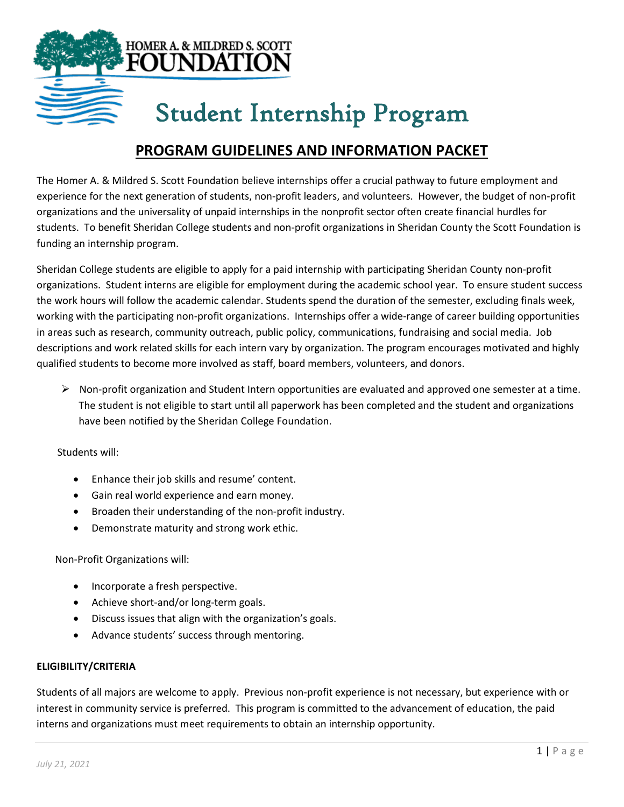

# Student Internship Program

# **PROGRAM GUIDELINES AND INFORMATION PACKET**

The Homer A. & Mildred S. Scott Foundation believe internships offer a crucial pathway to future employment and experience for the next generation of students, non-profit leaders, and volunteers. However, the budget of non-profit organizations and the universality of unpaid internships in the nonprofit sector often create financial hurdles for students. To benefit Sheridan College students and non-profit organizations in Sheridan County the Scott Foundation is funding an internship program.

Sheridan College students are eligible to apply for a paid internship with participating Sheridan County non-profit organizations. Student interns are eligible for employment during the academic school year. To ensure student success the work hours will follow the academic calendar. Students spend the duration of the semester, excluding finals week, working with the participating non-profit organizations. Internships offer a wide-range of career building opportunities in areas such as research, community outreach, public policy, communications, fundraising and social media. Job descriptions and work related skills for each intern vary by organization. The program encourages motivated and highly qualified students to become more involved as staff, board members, volunteers, and donors.

 $\triangleright$  Non-profit organization and Student Intern opportunities are evaluated and approved one semester at a time. The student is not eligible to start until all paperwork has been completed and the student and organizations have been notified by the Sheridan College Foundation.

Students will:

- Enhance their job skills and resume' content.
- Gain real world experience and earn money.
- Broaden their understanding of the non-profit industry.
- Demonstrate maturity and strong work ethic.

Non-Profit Organizations will:

- Incorporate a fresh perspective.
- Achieve short-and/or long-term goals.
- Discuss issues that align with the organization's goals.
- Advance students' success through mentoring.

## **ELIGIBILITY/CRITERIA**

Students of all majors are welcome to apply. Previous non-profit experience is not necessary, but experience with or interest in community service is preferred. This program is committed to the advancement of education, the paid interns and organizations must meet requirements to obtain an internship opportunity.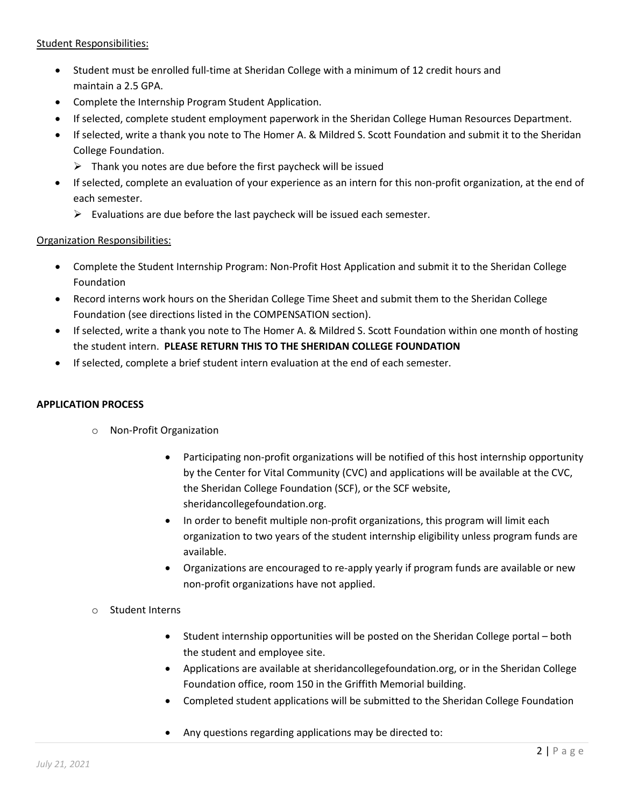## Student Responsibilities:

- Student must be enrolled full-time at Sheridan College with a minimum of 12 credit hours and maintain a 2.5 GPA.
- Complete the Internship Program Student Application.
- If selected, complete student employment paperwork in the Sheridan College Human Resources Department.
- If selected, write a thank you note to The Homer A. & Mildred S. Scott Foundation and submit it to the Sheridan College Foundation.
	- $\triangleright$  Thank you notes are due before the first paycheck will be issued
- If selected, complete an evaluation of your experience as an intern for this non-profit organization, at the end of each semester.
	- $\triangleright$  Evaluations are due before the last paycheck will be issued each semester.

# Organization Responsibilities:

- Complete the Student Internship Program: Non-Profit Host Application and submit it to the Sheridan College Foundation
- Record interns work hours on the Sheridan College Time Sheet and submit them to the Sheridan College Foundation (see directions listed in the COMPENSATION section).
- If selected, write a thank you note to The Homer A. & Mildred S. Scott Foundation within one month of hosting the student intern. **PLEASE RETURN THIS TO THE SHERIDAN COLLEGE FOUNDATION**
- If selected, complete a brief student intern evaluation at the end of each semester.

# **APPLICATION PROCESS**

- o Non-Profit Organization
	- Participating non-profit organizations will be notified of this host internship opportunity by the Center for Vital Community (CVC) and applications will be available at the CVC, the Sheridan College Foundation (SCF), or the SCF website, sheridancollegefoundation.org.
	- In order to benefit multiple non-profit organizations, this program will limit each organization to two years of the student internship eligibility unless program funds are available.
	- Organizations are encouraged to re-apply yearly if program funds are available or new non-profit organizations have not applied.
- o Student Interns
	- Student internship opportunities will be posted on the Sheridan College portal both the student and employee site.
	- Applications are available at sheridancollegefoundation.org, or in the Sheridan College Foundation office, room 150 in the Griffith Memorial building.
	- Completed student applications will be submitted to the Sheridan College Foundation
	- Any questions regarding applications may be directed to: